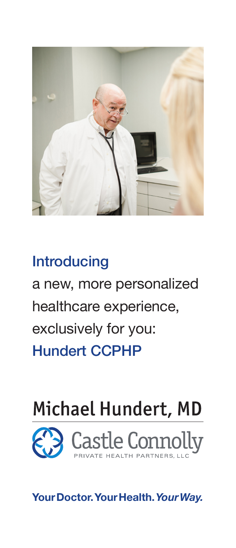

# **Introducing** a new, more personalized healthcare experience, exclusively for you: Hundert CCPHP

# Michael Hundert, MD



**Your Doctor. Your Health.** *Your Way.*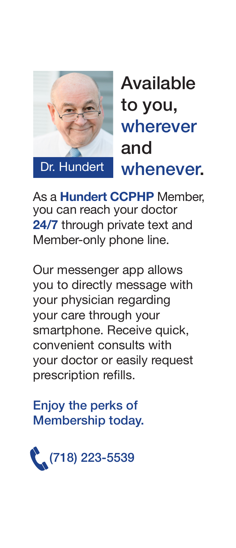

Available to you, wherever and whenever.

As a **Hundert CCPHP** Member, you can reach your doctor **24/7** through private text and Member-only phone line.

Our messenger app allows you to directly message with your physician regarding your care through your smartphone. Receive quick, convenient consults with your doctor or easily request prescription refills.

Enjoy the perks of Membership today.

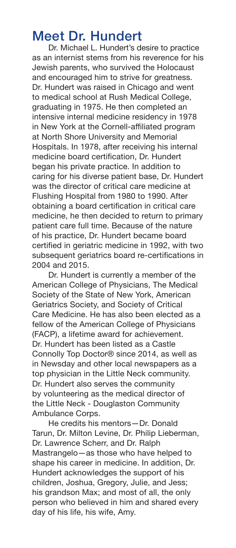#### Meet Dr. Hundert

Dr. Michael L. Hundert's desire to practice as an internist stems from his reverence for his Jewish parents, who survived the Holocaust and encouraged him to strive for greatness. Dr. Hundert was raised in Chicago and went to medical school at Rush Medical College, graduating in 1975. He then completed an intensive internal medicine residency in 1978 in New York at the Cornell-affiliated program at North Shore University and Memorial Hospitals. In 1978, after receiving his internal medicine board certification, Dr. Hundert began his private practice. In addition to caring for his diverse patient base, Dr. Hundert was the director of critical care medicine at Flushing Hospital from 1980 to 1990. After obtaining a board certification in critical care medicine, he then decided to return to primary patient care full time. Because of the nature of his practice, Dr. Hundert became board certified in geriatric medicine in 1992, with two subsequent geriatrics board re-certifications in 2004 and 2015.

Dr. Hundert is currently a member of the American College of Physicians, The Medical Society of the State of New York, American Geriatrics Society, and Society of Critical Care Medicine. He has also been elected as a fellow of the American College of Physicians (FACP), a lifetime award for achievement. Dr. Hundert has been listed as a Castle Connolly Top Doctor® since 2014, as well as in Newsday and other local newspapers as a top physician in the Little Neck community. Dr. Hundert also serves the community by volunteering as the medical director of the Little Neck - Douglaston Community Ambulance Corps.

He credits his mentors—Dr. Donald Tarun, Dr. Milton Levine, Dr. Philip Lieberman, Dr. Lawrence Scherr, and Dr. Ralph Mastrangelo—as those who have helped to shape his career in medicine. In addition, Dr. Hundert acknowledges the support of his children, Joshua, Gregory, Julie, and Jess; his grandson Max; and most of all, the only person who believed in him and shared every day of his life, his wife, Amy.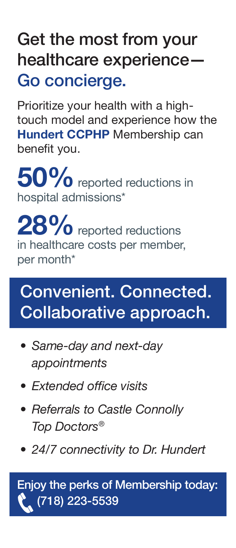## Get the most from your healthcare experience— Go concierge.

Prioritize your health with a hightouch model and experience how the **Hundert CCPHP** Membership can benefit you.

**50%**reported reductions in hospital admissions\*

28% reported reductions in healthcare costs per member, per month\*

### Convenient. Connected. Collaborative approach.

- *• Same-day and next-day appointments*
- *• Extended office visits*
- *• Referrals to Castle Connolly Top Doctors®*
- *• 24/7 connectivity to Dr. Hundert*

Enjoy the perks of Membership today:  $(718)$  223-5539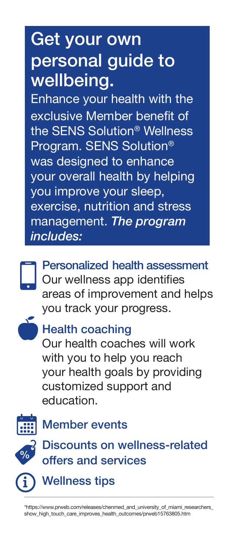# Get your own personal guide to wellbeing.

Enhance your health with the exclusive Member benefit of the SENS Solution® Wellness Program. SENS Solution® was designed to enhance your overall health by helping you improve your sleep, exercise, nutrition and stress management. *The program includes:*

Personalized health assessment Our wellness app identifies areas of improvement and helps you track your progress.



### Health coaching

Our health coaches will work with you to help you reach your health goals by providing customized support and education.



### Member events



**i**

### Discounts on wellness-related offers and services

Wellness tips

\*https://www.prweb.com/releases/chenmed\_and\_university\_of\_miami\_researchers\_ show\_high\_touch\_care\_improves\_health\_outcomes/prweb15763805.htm